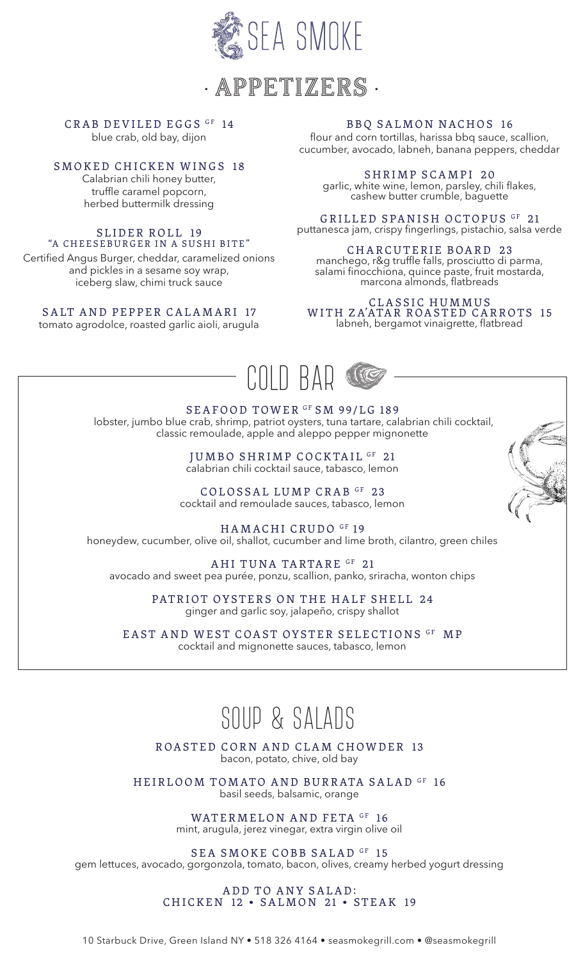

• APPETIZERS •

# CRAB DEVILED EGGS GF 14

blue crab, old bay, dijon

# SMOKED CHICKEN WINGS 18

Calabrian chili honey butter, truffle caramel popcorn, herbed buttermilk dressing

#### SLIDER ROLL 19 "A CHEESEBURGER IN A SUSHI BITE"

Certified Angus Burger, cheddar, caramelized onions and pickles in a sesame soy wrap, iceberg slaw, chimi truck sauce

# SALT AND PEPPER CALAMARI 17

tomato agrodolce, roasted garlic aioli, arugula

# BBQ SALMON NACHOS 16

flour and corn tortillas, harissa bbq sauce, scallion, cucumber, avocado, labneh, banana peppers, cheddar

SHRIMP SCAMPI 20 garlic, white wine, lemon, parsley, chili flakes, cashew butter crumble, baguette

GRILLED SPANISH OCTOPUS GF 21 puttanesca jam, crispy fingerlings, pistachio, salsa verde

CHARCUTERIE BOARD 23 manchego, r&g truffle falls, prosciutto di parma, salami finocchiona, quince paste, fruit mostarda, marcona almonds, flatbreads

CLASSIC HUMMUS WITH ZA'ATAR ROASTED CARROTS 15 labneh, bergamot vinaigrette, flatbread



SEAFOOD TOWER<sup>GF</sup> SM 99/LG 189 lobster, jumbo blue crab, shrimp, patriot oysters, tuna tartare, calabrian chili cocktail, classic remoulade, apple and aleppo pepper mignonette

> JUMBO SHRIMP COCKTAIL GF 21 calabrian chili cocktail sauce, tabasco, lemon

COLOSSAL LUMP CRAB GF 23 cocktail and remoulade sauces, tabasco, lemon

HAMACHI CRUDO GF 19 honeydew, cucumber, olive oil, shallot, cucumber and lime broth, cilantro, green chiles

AHI TUNA TARTARE GF 21 avocado and sweet pea purée, ponzu, scallion, panko, sriracha, wonton chips

> PATRIOT OYSTERS ON THE HALF SHELL 24 ginger and garlic soy, jalapeño, crispy shallot

EAST AND WEST COAST OYSTER SELECTIONS GF MP cocktail and mignonette sauces, tabasco, lemon

# SOUP & SALADS

ROASTED CORN AND CLAM CHOWDER 13 bacon, potato, chive, old bay

HEIRLOOM TOMATO AND BURRATA SALAD GF 16 basil seeds, balsamic, orange

> WATERMELON AND FETA GF 16 mint, arugula, jerez vinegar, extra virgin olive oil

SEA SMOKE COBB SALAD GF 15 gem lettuces, avocado, gorgonzola, tomato, bacon, olives, creamy herbed yogurt dressing

### ADD TO ANY SALAD: CHICKEN 12 • SALMON 21 • STEAK 19

10 Starbuck Drive, Green Island NY • 518 326 4164 • seasmokegrill.com • @seasmokegrill